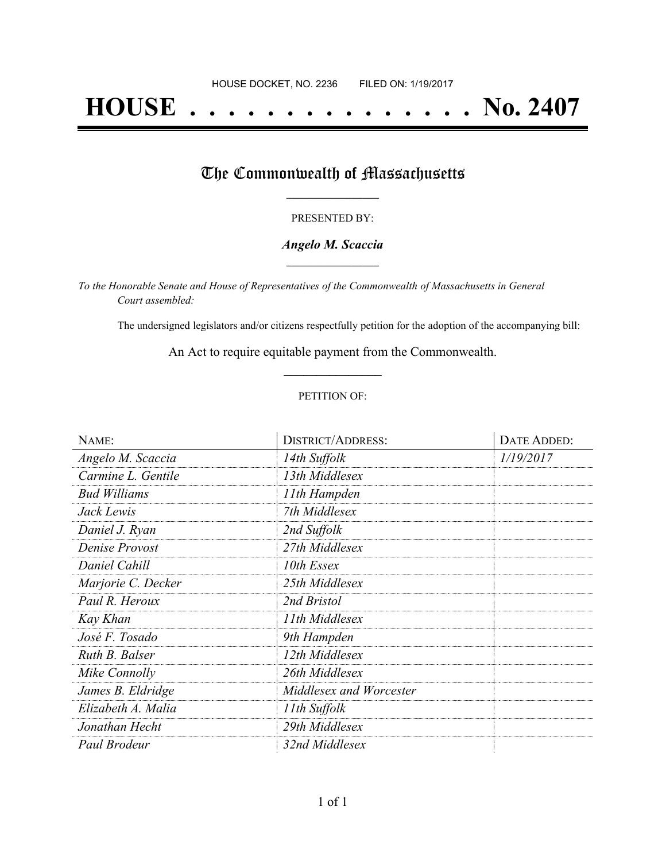# **HOUSE . . . . . . . . . . . . . . . No. 2407**

## The Commonwealth of Massachusetts

#### PRESENTED BY:

#### *Angelo M. Scaccia* **\_\_\_\_\_\_\_\_\_\_\_\_\_\_\_\_\_**

*To the Honorable Senate and House of Representatives of the Commonwealth of Massachusetts in General Court assembled:*

The undersigned legislators and/or citizens respectfully petition for the adoption of the accompanying bill:

An Act to require equitable payment from the Commonwealth. **\_\_\_\_\_\_\_\_\_\_\_\_\_\_\_**

#### PETITION OF:

| NAME:               | <b>DISTRICT/ADDRESS:</b> | DATE ADDED: |
|---------------------|--------------------------|-------------|
| Angelo M. Scaccia   | 14th Suffolk             | 1/19/2017   |
| Carmine L. Gentile  | 13th Middlesex           |             |
| <b>Bud Williams</b> | 11th Hampden             |             |
| Jack Lewis          | 7th Middlesex            |             |
| Daniel J. Ryan      | 2nd Suffolk              |             |
| Denise Provost      | 27th Middlesex           |             |
| Daniel Cahill       | 10th Essex               |             |
| Marjorie C. Decker  | 25th Middlesex           |             |
| Paul R. Heroux      | 2nd Bristol              |             |
| Kay Khan            | 11th Middlesex           |             |
| José F. Tosado      | 9th Hampden              |             |
| Ruth B. Balser      | 12th Middlesex           |             |
| Mike Connolly       | 26th Middlesex           |             |
| James B. Eldridge   | Middlesex and Worcester  |             |
| Elizabeth A. Malia  | 11th Suffolk             |             |
| Jonathan Hecht      | 29th Middlesex           |             |
| Paul Brodeur        | 32nd Middlesex           |             |